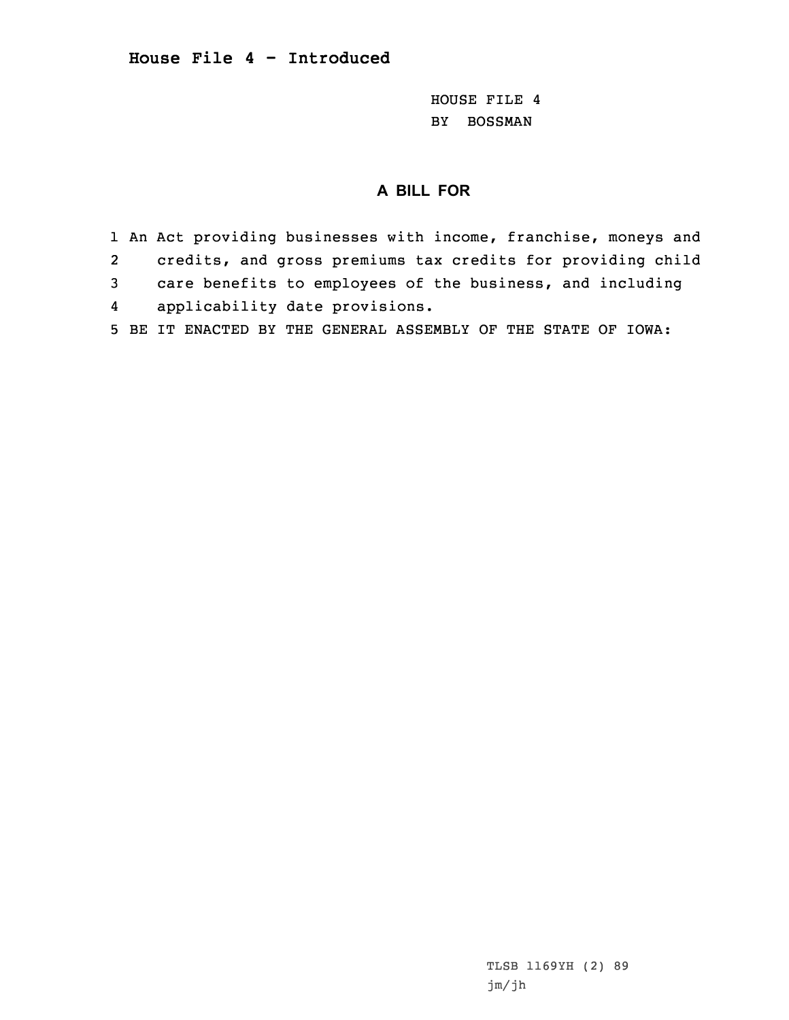## **House File 4 - Introduced**

HOUSE FILE 4 BY BOSSMAN

## **A BILL FOR**

1 An Act providing businesses with income, franchise, moneys and 2 credits, and gross premiums tax credits for providing child 3 care benefits to employees of the business, and including 4applicability date provisions.

5 BE IT ENACTED BY THE GENERAL ASSEMBLY OF THE STATE OF IOWA:

TLSB 1169YH (2) 89 jm/jh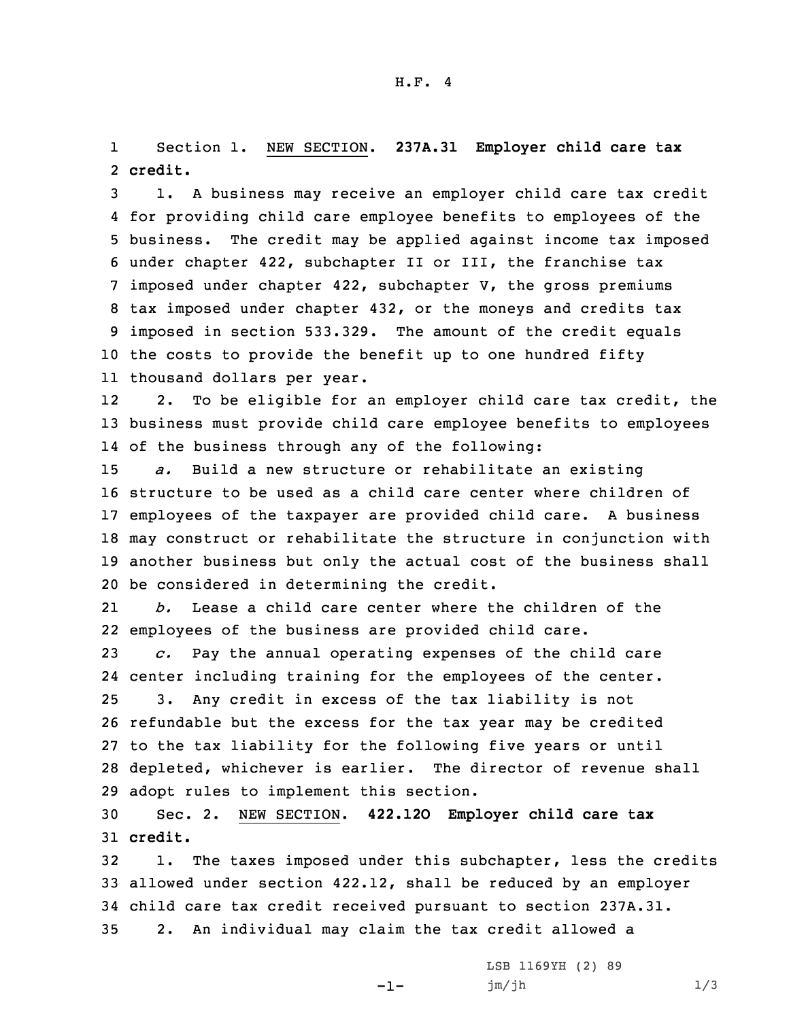1 Section 1. NEW SECTION. **237A.31 Employer child care tax** 2 **credit.**

 1. <sup>A</sup> business may receive an employer child care tax credit for providing child care employee benefits to employees of the business. The credit may be applied against income tax imposed under chapter 422, subchapter II or III, the franchise tax imposed under chapter 422, subchapter V, the gross premiums tax imposed under chapter 432, or the moneys and credits tax imposed in section 533.329. The amount of the credit equals the costs to provide the benefit up to one hundred fifty thousand dollars per year.

12 2. To be eligible for an employer child care tax credit, the 13 business must provide child care employee benefits to employees 14 of the business through any of the following:

 *a.* Build <sup>a</sup> new structure or rehabilitate an existing structure to be used as <sup>a</sup> child care center where children of employees of the taxpayer are provided child care. <sup>A</sup> business may construct or rehabilitate the structure in conjunction with another business but only the actual cost of the business shall be considered in determining the credit.

21 *b.* Lease <sup>a</sup> child care center where the children of the 22 employees of the business are provided child care.

 *c.* Pay the annual operating expenses of the child care center including training for the employees of the center. 3. Any credit in excess of the tax liability is not refundable but the excess for the tax year may be credited to the tax liability for the following five years or until depleted, whichever is earlier. The director of revenue shall adopt rules to implement this section.

30 Sec. 2. NEW SECTION. **422.12O Employer child care tax** 31 **credit.**

 1. The taxes imposed under this subchapter, less the credits allowed under section 422.12, shall be reduced by an employer child care tax credit received pursuant to section 237A.31. 2. An individual may claim the tax credit allowed <sup>a</sup>

-1-

LSB 1169YH (2) 89 jm/jh 1/3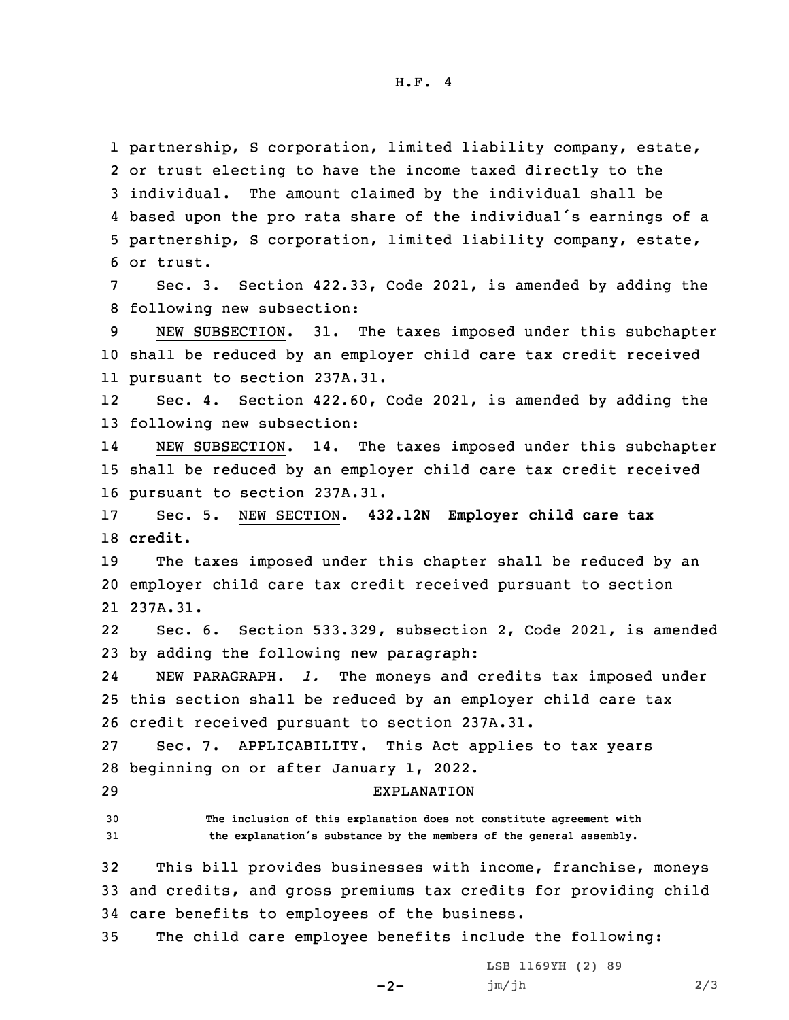H.F. 4

 partnership, S corporation, limited liability company, estate, or trust electing to have the income taxed directly to the individual. The amount claimed by the individual shall be based upon the pro rata share of the individual's earnings of <sup>a</sup> partnership, S corporation, limited liability company, estate, or trust. Sec. 3. Section  $422.33$ , Code 2021, is amended by adding the following new subsection: NEW SUBSECTION. 31. The taxes imposed under this subchapter shall be reduced by an employer child care tax credit received pursuant to section 237A.31. 12 Sec. 4. Section 422.60, Code 2021, is amended by adding the following new subsection: 14 NEW SUBSECTION. 14. The taxes imposed under this subchapter shall be reduced by an employer child care tax credit received pursuant to section 237A.31. Sec. 5. NEW SECTION. **432.12N Employer child care tax** 18 **credit.**

19 The taxes imposed under this chapter shall be reduced by an 20 employer child care tax credit received pursuant to section 21 237A.31.

22 Sec. 6. Section 533.329, subsection 2, Code 2021, is amended 23 by adding the following new paragraph:

24 NEW PARAGRAPH. *l.* The moneys and credits tax imposed under 25 this section shall be reduced by an employer child care tax 26 credit received pursuant to section 237A.31.

27 Sec. 7. APPLICABILITY. This Act applies to tax years 28 beginning on or after January 1, 2022.

29 EXPLANATION

30 **The inclusion of this explanation does not constitute agreement with** <sup>31</sup> **the explanation's substance by the members of the general assembly.**

32 This bill provides businesses with income, franchise, moneys 33 and credits, and gross premiums tax credits for providing child 34 care benefits to employees of the business.

35 The child care employee benefits include the following:

 $-2-$ 

LSB 1169YH (2) 89 jm/jh 2/3